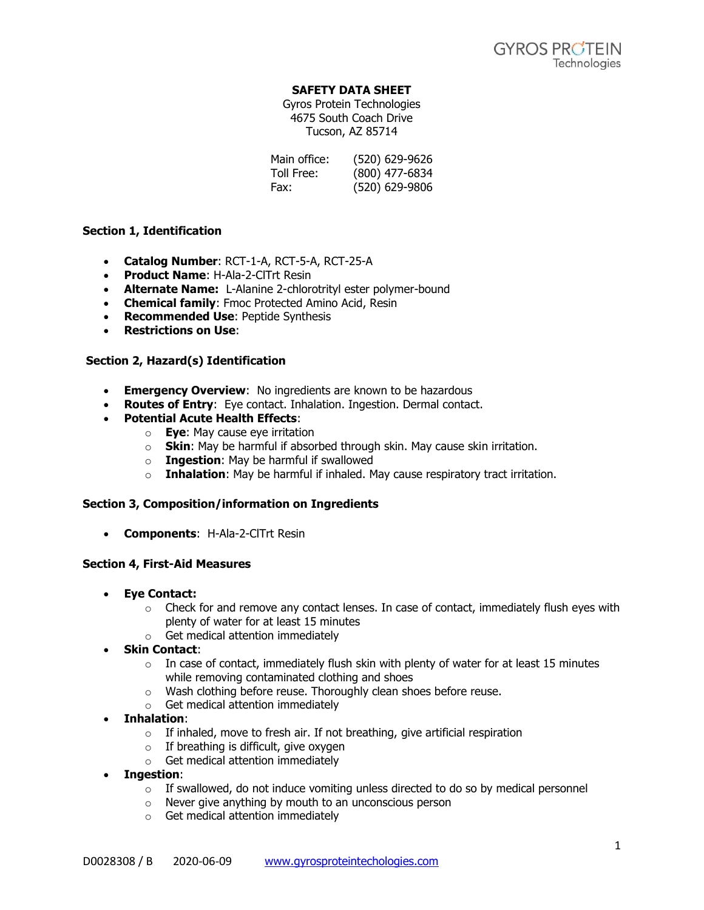### **SAFETY DATA SHEET**

Gyros Protein Technologies 4675 South Coach Drive Tucson, AZ 85714

| Main office: | (520) 629-9626 |
|--------------|----------------|
| Toll Free:   | (800) 477-6834 |
| Fax:         | (520) 629-9806 |

### **Section 1, Identification**

- **Catalog Number**: RCT-1-A, RCT-5-A, RCT-25-A
- **Product Name**: H-Ala-2-ClTrt Resin
- **Alternate Name:** L-Alanine 2-chlorotrityl ester polymer-bound
- **Chemical family**: Fmoc Protected Amino Acid, Resin
- **Recommended Use**: Peptide Synthesis
- **Restrictions on Use**:

### **Section 2, Hazard(s) Identification**

- **Emergency Overview**: No ingredients are known to be hazardous
- **Routes of Entry**: Eye contact. Inhalation. Ingestion. Dermal contact.
- **Potential Acute Health Effects**:
	- o **Eye**: May cause eye irritation
		- o **Skin**: May be harmful if absorbed through skin. May cause skin irritation.
		- o **Ingestion**: May be harmful if swallowed
		- o **Inhalation**: May be harmful if inhaled. May cause respiratory tract irritation.

#### **Section 3, Composition/information on Ingredients**

• **Components**: H-Ala-2-ClTrt Resin

#### **Section 4, First-Aid Measures**

- **Eye Contact:** 
	- $\circ$  Check for and remove any contact lenses. In case of contact, immediately flush eyes with plenty of water for at least 15 minutes
	- o Get medical attention immediately
- **Skin Contact**:
	- $\circ$  In case of contact, immediately flush skin with plenty of water for at least 15 minutes while removing contaminated clothing and shoes
	- o Wash clothing before reuse. Thoroughly clean shoes before reuse.
	- o Get medical attention immediately
- **Inhalation**:
	- $\circ$  If inhaled, move to fresh air. If not breathing, give artificial respiration
	- $\circ$  If breathing is difficult, give oxygen
	- $\circ$  Get medical attention immediately
- **Ingestion**:
	- $\circ$  If swallowed, do not induce vomiting unless directed to do so by medical personnel
	- o Never give anything by mouth to an unconscious person
	- o Get medical attention immediately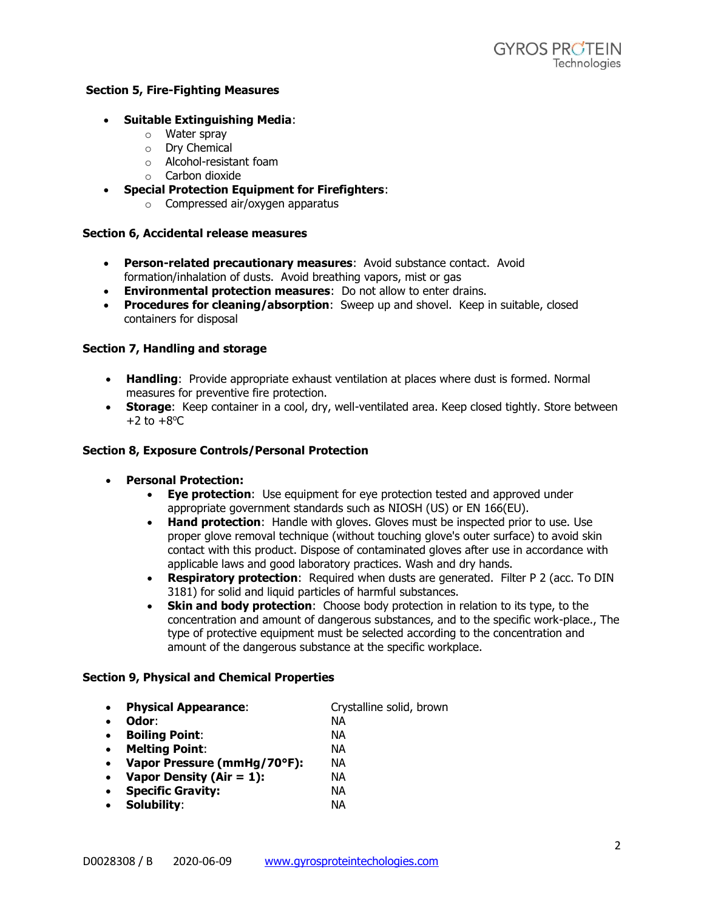### **Section 5, Fire-Fighting Measures**

### • **Suitable Extinguishing Media**:

- o Water spray
- o Dry Chemical
- o Alcohol-resistant foam
- o Carbon dioxide
- **Special Protection Equipment for Firefighters**:
	- o Compressed air/oxygen apparatus

#### **Section 6, Accidental release measures**

- **Person-related precautionary measures**: Avoid substance contact. Avoid formation/inhalation of dusts. Avoid breathing vapors, mist or gas
- **Environmental protection measures**: Do not allow to enter drains.
- **Procedures for cleaning/absorption**: Sweep up and shovel. Keep in suitable, closed containers for disposal

### **Section 7, Handling and storage**

- **Handling**: Provide appropriate exhaust ventilation at places where dust is formed. Normal measures for preventive fire protection.
- **Storage**: Keep container in a cool, dry, well-ventilated area. Keep closed tightly. Store between  $+2$  to  $+8$ <sup>o</sup>C

#### **Section 8, Exposure Controls/Personal Protection**

- **Personal Protection:**
	- **Eye protection**: Use equipment for eye protection tested and approved under appropriate government standards such as NIOSH (US) or EN 166(EU).
	- **Hand protection**: Handle with gloves. Gloves must be inspected prior to use. Use proper glove removal technique (without touching glove's outer surface) to avoid skin contact with this product. Dispose of contaminated gloves after use in accordance with applicable laws and good laboratory practices. Wash and dry hands.
	- **Respiratory protection**: Required when dusts are generated. Filter P 2 (acc. To DIN 3181) for solid and liquid particles of harmful substances.
	- **Skin and body protection**: Choose body protection in relation to its type, to the concentration and amount of dangerous substances, and to the specific work-place., The type of protective equipment must be selected according to the concentration and amount of the dangerous substance at the specific workplace.

#### **Section 9, Physical and Chemical Properties**

- **Physical Appearance**: Crystalline solid, brown
- **Odor**: NA

- **Boiling Point**: NA
- **Melting Point**: NA
- **Vapor Pressure (mmHg/70°F):** NA
- **Vapor Density (Air = 1):** NA
- **Specific Gravity:** NA
- **Solubility**: NA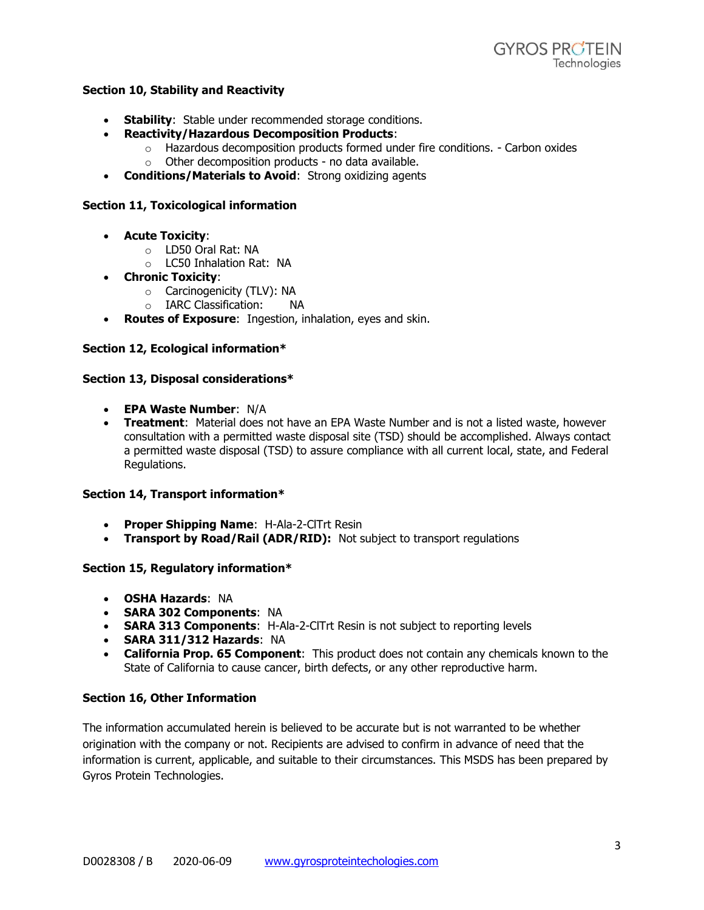## **Section 10, Stability and Reactivity**

- **Stability**: Stable under recommended storage conditions.
- **Reactivity/Hazardous Decomposition Products**:
	- $\circ$  Hazardous decomposition products formed under fire conditions. Carbon oxides
		- $\circ$  Other decomposition products no data available.
- **Conditions/Materials to Avoid**: Strong oxidizing agents

## **Section 11, Toxicological information**

- **Acute Toxicity**:
	- o LD50 Oral Rat: NA
	- o LC50 Inhalation Rat: NA
- **Chronic Toxicity**:
	- o Carcinogenicity (TLV): NA
	- o IARC Classification: NA
- **Routes of Exposure**: Ingestion, inhalation, eyes and skin.

## **Section 12, Ecological information\***

### **Section 13, Disposal considerations\***

- **EPA Waste Number**: N/A
- **Treatment**: Material does not have an EPA Waste Number and is not a listed waste, however consultation with a permitted waste disposal site (TSD) should be accomplished. Always contact a permitted waste disposal (TSD) to assure compliance with all current local, state, and Federal Regulations.

### **Section 14, Transport information\***

- **Proper Shipping Name**: H-Ala-2-ClTrt Resin
- **Transport by Road/Rail (ADR/RID):** Not subject to transport regulations

### **Section 15, Regulatory information\***

- **OSHA Hazards**: NA
- **SARA 302 Components**: NA
- **SARA 313 Components**: H-Ala-2-ClTrt Resin is not subject to reporting levels
- **SARA 311/312 Hazards**: NA
- **California Prop. 65 Component**: This product does not contain any chemicals known to the State of California to cause cancer, birth defects, or any other reproductive harm.

# **Section 16, Other Information**

The information accumulated herein is believed to be accurate but is not warranted to be whether origination with the company or not. Recipients are advised to confirm in advance of need that the information is current, applicable, and suitable to their circumstances. This MSDS has been prepared by Gyros Protein Technologies.